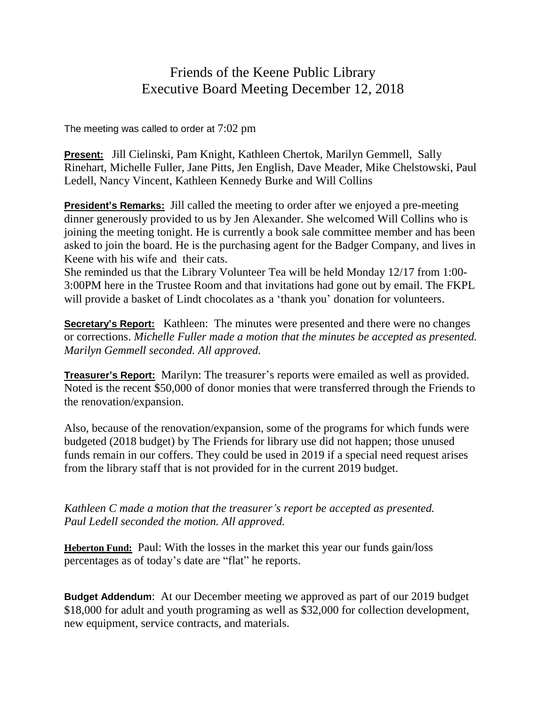## Friends of the Keene Public Library Executive Board Meeting December 12, 2018

The meeting was called to order at 7:02 pm

**Present:** Jill Cielinski, Pam Knight, Kathleen Chertok, Marilyn Gemmell, Sally Rinehart, Michelle Fuller, Jane Pitts, Jen English, Dave Meader, Mike Chelstowski, Paul Ledell, Nancy Vincent, Kathleen Kennedy Burke and Will Collins

**President's Remarks:** Jill called the meeting to order after we enjoyed a pre-meeting dinner generously provided to us by Jen Alexander. She welcomed Will Collins who is joining the meeting tonight. He is currently a book sale committee member and has been asked to join the board. He is the purchasing agent for the Badger Company, and lives in Keene with his wife and their cats.

She reminded us that the Library Volunteer Tea will be held Monday 12/17 from 1:00- 3:00PM here in the Trustee Room and that invitations had gone out by email. The FKPL will provide a basket of Lindt chocolates as a 'thank you' donation for volunteers.

**Secretary's Report:** Kathleen: The minutes were presented and there were no changes or corrections. *Michelle Fuller made a motion that the minutes be accepted as presented. Marilyn Gemmell seconded. All approved.*

**Treasurer's Report:** Marilyn: The treasurer's reports were emailed as well as provided. Noted is the recent \$50,000 of donor monies that were transferred through the Friends to the renovation/expansion.

Also, because of the renovation/expansion, some of the programs for which funds were budgeted (2018 budget) by The Friends for library use did not happen; those unused funds remain in our coffers. They could be used in 2019 if a special need request arises from the library staff that is not provided for in the current 2019 budget.

*Kathleen C made a motion that the treasurer's report be accepted as presented. Paul Ledell seconded the motion. All approved.*

**Heberton Fund:** Paul: With the losses in the market this year our funds gain/loss percentages as of today's date are "flat" he reports.

**Budget Addendum**: At our December meeting we approved as part of our 2019 budget \$18,000 for adult and youth programing as well as \$32,000 for collection development, new equipment, service contracts, and materials.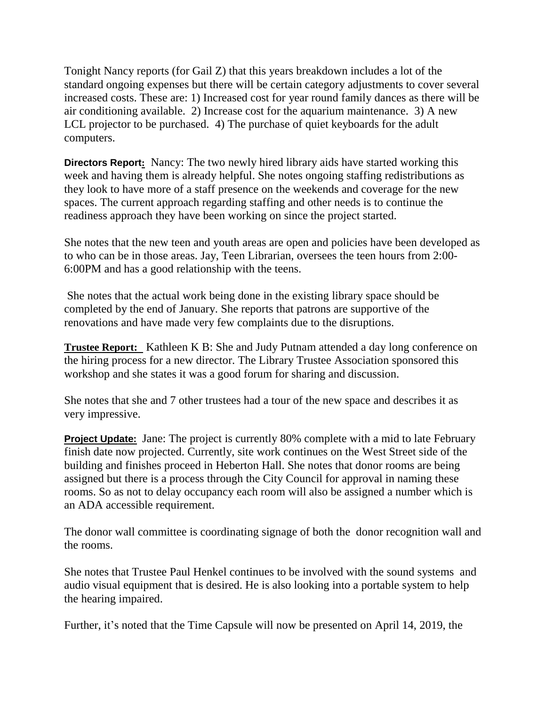Tonight Nancy reports (for Gail Z) that this years breakdown includes a lot of the standard ongoing expenses but there will be certain category adjustments to cover several increased costs. These are: 1) Increased cost for year round family dances as there will be air conditioning available. 2) Increase cost for the aquarium maintenance. 3) A new LCL projector to be purchased. 4) The purchase of quiet keyboards for the adult computers.

**Directors Report:** Nancy: The two newly hired library aids have started working this week and having them is already helpful. She notes ongoing staffing redistributions as they look to have more of a staff presence on the weekends and coverage for the new spaces. The current approach regarding staffing and other needs is to continue the readiness approach they have been working on since the project started.

She notes that the new teen and youth areas are open and policies have been developed as to who can be in those areas. Jay, Teen Librarian, oversees the teen hours from 2:00- 6:00PM and has a good relationship with the teens.

She notes that the actual work being done in the existing library space should be completed by the end of January. She reports that patrons are supportive of the renovations and have made very few complaints due to the disruptions.

**Trustee Report:** Kathleen K B: She and Judy Putnam attended a day long conference on the hiring process for a new director. The Library Trustee Association sponsored this workshop and she states it was a good forum for sharing and discussion.

She notes that she and 7 other trustees had a tour of the new space and describes it as very impressive.

**Project Update:** Jane: The project is currently 80% complete with a mid to late February finish date now projected. Currently, site work continues on the West Street side of the building and finishes proceed in Heberton Hall. She notes that donor rooms are being assigned but there is a process through the City Council for approval in naming these rooms. So as not to delay occupancy each room will also be assigned a number which is an ADA accessible requirement.

The donor wall committee is coordinating signage of both the donor recognition wall and the rooms.

She notes that Trustee Paul Henkel continues to be involved with the sound systems and audio visual equipment that is desired. He is also looking into a portable system to help the hearing impaired.

Further, it's noted that the Time Capsule will now be presented on April 14, 2019, the